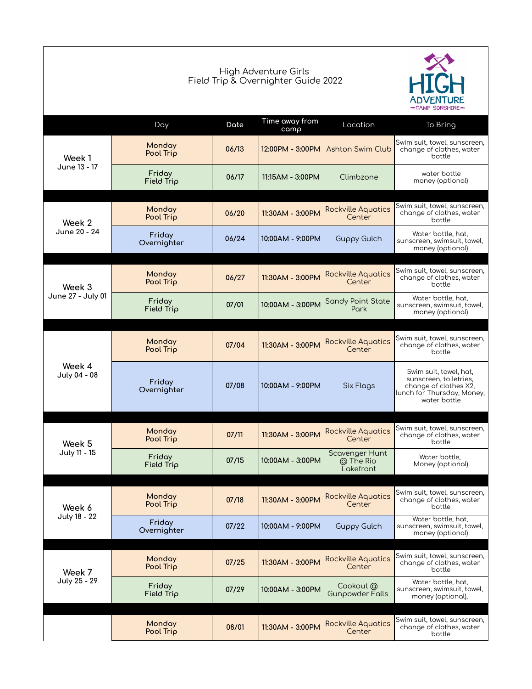